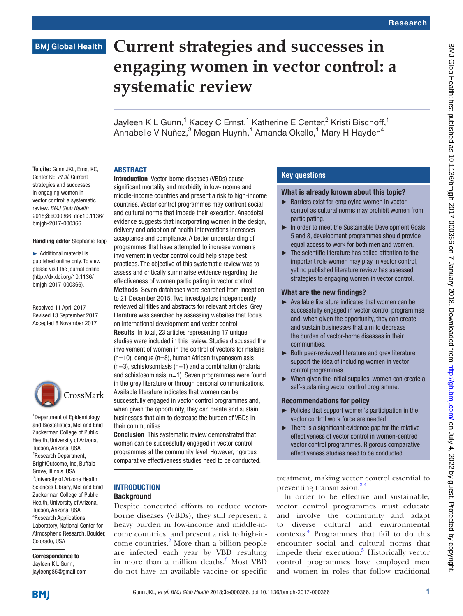# **Current strategies and successes in engaging women in vector control: a systematic review**

Jayleen K L Gunn, $^1$  Kacey C Ernst, $^1$  Katherine E Center, $^2$  Kristi Bischoff, $^1$ Annabelle V Nuñez, $^3$  Megan Huynh, $^1$  Amanda Okello, $^1$  Mary H Hayden $^4$ 

#### **ABSTRACT**

**To cite:** Gunn JKL, Ernst KC, Center KE, *et al*. Current strategies and successes in engaging women in vector control: a systematic review. *BMJ Glob Health* 2018;**3**:e000366. doi:10.1136/ bmjgh-2017-000366

#### Handling editor Stephanie Topp

► Additional material is published online only. To view please visit the journal online (http://dx.doi.org/10.1136/ bmjgh-2017-000366).

Received 11 April 2017 Revised 13 September 2017 Accepted 8 November 2017



1 Department of Epidemiology and Biostatistics, Mel and Enid Zuckerman College of Public Health, University of Arizona, Tucson, Arizona, USA <sup>2</sup>Research Department, BrightOutcome, Inc, Buffalo Grove, Illinois, USA <sup>3</sup>University of Arizona Health Sciences Library, Mel and Enid Zuckerman College of Public Health, University of Arizona, Tucson, Arizona, USA 4 Research Applications Laboratory, National Center for Atmospheric Research, Boulder, Colorado, USA

Correspondence to Jayleen K L Gunn; jayleeng85@gmail.com

Introduction Vector-borne diseases (VBDs) cause significant mortality and morbidity in low-income and middle-income countries and present a risk to high-income countries. Vector control programmes may confront social and cultural norms that impede their execution. Anecdotal evidence suggests that incorporating women in the design, delivery and adoption of health interventions increases acceptance and compliance. A better understanding of programmes that have attempted to increase women's involvement in vector control could help shape best practices. The objective of this systematic review was to assess and critically summarise evidence regarding the effectiveness of women participating in vector control. Methods Seven databases were searched from inception to 21 December 2015. Two investigators independently reviewed all titles and abstracts for relevant articles. Grey literature was searched by assessing websites that focus on international development and vector control. Results In total, 23 articles representing 17 unique studies were included in this review. Studies discussed the involvement of women in the control of vectors for malaria (n=10), dengue (n=8), human African trypanosomiasis  $(n=3)$ , schistosomiasis  $(n=1)$  and a combination (malaria and schistosomiasis, n=1). Seven programmes were found in the grey literature or through personal communications. Available literature indicates that women can be successfully engaged in vector control programmes and, when given the opportunity, they can create and sustain businesses that aim to decrease the burden of VBDs in their communities.

**Conclusion** This systematic review demonstrated that women can be successfully engaged in vector control programmes at the community level. However, rigorous comparative effectiveness studies need to be conducted.

### **INTRODUCTION Background**

Despite concerted efforts to reduce vectorborne diseases (VBDs), they still represent a heavy burden in low-income and middle-income countries<sup>1</sup> and present a risk to high-in-come countries.<sup>[2](#page-8-1)</sup> More than a billion people are infected each year by VBD resulting in more than a million deaths.<sup>3</sup> Most VBD do not have an available vaccine or specific

# **Key questions**

#### What is already known about this topic?

- ► Barriers exist for employing women in vector control as cultural norms may prohibit women from participating.
- ► In order to meet the Sustainable Development Goals 5 and 8, development programmes should provide equal access to work for both men and women.
- ► The scientific literature has called attention to the important role women may play in vector control, yet no published literature review has assessed strategies to engaging women in vector control.

## What are the new findings?

- ► Available literature indicates that women can be successfully engaged in vector control programmes and, when given the opportunity, they can create and sustain businesses that aim to decrease the burden of vector-borne diseases in their communities.
- ► Both peer-reviewed literature and grey literature support the idea of including women in vector control programmes.
- ► When given the initial supplies, women can create a self-sustaining vector control programme.

## Recommendations for policy

- ► Policies that support women's participation in the vector control work force are needed.
- ► There is a significant evidence gap for the relative effectiveness of vector control in women-centred vector control programmes. Rigorous comparative effectiveness studies need to be conducted.

treatment, making vector control essential to preventing transmission.<sup>34</sup>

In order to be effective and sustainable, vector control programmes must educate and involve the community and adapt to diverse cultural and environmental contexts.[4](#page-8-3) Programmes that fail to do this encounter social and cultural norms that impede their execution.<sup>[5](#page-8-4)</sup> Historically vector control programmes have employed men and women in roles that follow traditional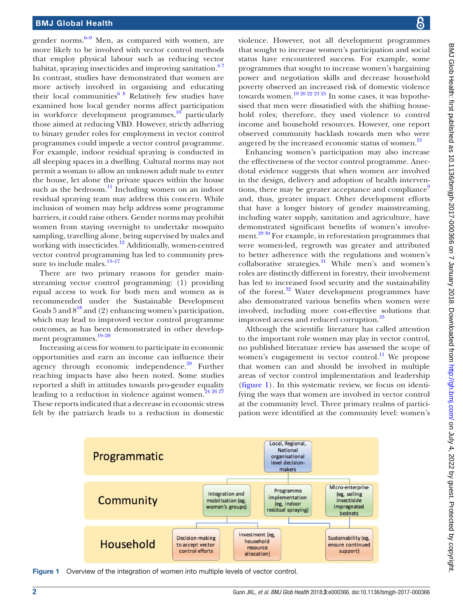gender norms. $6-9$  Men, as compared with women, are more likely to be involved with vector control methods that employ physical labour such as reducing vector habitat, spraying insecticides and improving sanitation.<sup>67</sup> In contrast, studies have demonstrated that women are more actively involved in organising and educating their local communities<sup>[6 8](#page-8-5)</sup> Relatively few studies have examined how local gender norms affect participation in workforce development programmes, $10$  particularly those aimed at reducing VBD. However, strictly adhering to binary gender roles for employment in vector control programmes could impede a vector control programme. For example, indoor residual spraying is conducted in all sleeping spaces in a dwelling. Cultural norms may not permit a woman to allow an unknown adult male to enter the house, let alone the private spaces within the house such as the bedroom. $\frac{11}{11}$  Including women on an indoor residual spraying team may address this concern. While inclusion of women may help address some programme barriers, it could raise others. Gender norms may prohibit women from staying overnight to undertake mosquito sampling, travelling alone, being supervised by males and working with insecticides.<sup>12</sup> Additionally, women-centred vector control programming has led to community pressure to include males.<sup>13-17</sup>

There are two primary reasons for gender mainstreaming vector control programming: (1) providing equal access to work for both men and women as is recommended under the Sustainable Development Goals 5 and  $8^{18}$  and (2) enhancing women's participation, which may lead to improved vector control programme outcomes, as has been demonstrated in other develop-ment programmes.<sup>[19–28](#page-8-11)</sup>

Increasing access for women to participate in economic opportunities and earn an income can influence their agency through economic independence. $^{28}$  Further reaching impacts have also been noted. Some studies reported a shift in attitudes towards pro-gender equality leading to a reduction in violence against women.<sup>[24 26 27](#page-9-1)</sup> These reports indicated that a decrease in economic stress felt by the patriarch leads to a reduction in domestic

violence. However, not all development programmes that sought to increase women's participation and social status have encountered success. For example, some programmes that sought to increase women's bargaining power and negotiation skills and decrease household poverty observed an increased risk of domestic violence towards women.<sup>19 20 22 23 25</sup> In some cases, it was hypothesised that men were dissatisfied with the shifting household roles; therefore, they used violence to control income and household resources. However, one report observed community backlash towards men who were angered by the increased economic status of women.<sup>21</sup>

Enhancing women's participation may also increase the effectiveness of the vector control programme. Anecdotal evidence suggests that when women are involved in the design, delivery and adoption of health interven-tions, there may be greater acceptance and compliance<sup>[9](#page-8-13)</sup> and, thus, greater impact. Other development efforts that have a longer history of gender mainstreaming, including water supply, sanitation and agriculture, have demonstrated significant benefits of women's involvement.[29 30](#page-9-2) For example, in reforestation programmes that were women-led, regrowth was greater and attributed to better adherence with the regulations and women's collaborative strategies. $31$  While men's and women's roles are distinctly different in forestry, their involvement has led to increased food security and the sustainability of the forest.<sup>[32](#page-9-4)</sup> Water development programmes have also demonstrated various benefits when women were involved, including more cost-effective solutions that improved access and reduced corruption.<sup>[33](#page-9-5)</sup>

Although the scientific literature has called attention to the important role women may play in vector control, no published literature review has assessed the scope of women's engagement in vector control.<sup>11</sup> We propose that women can and should be involved in multiple areas of vector control implementation and leadership [\(figure](#page-1-0) 1). In this systematic review, we focus on identifying the ways that women are involved in vector control at the community level. Three primary realms of participation were identified at the community level: women's



<span id="page-1-0"></span>Figure 1 Overview of the integration of women into multiple levels of vector control.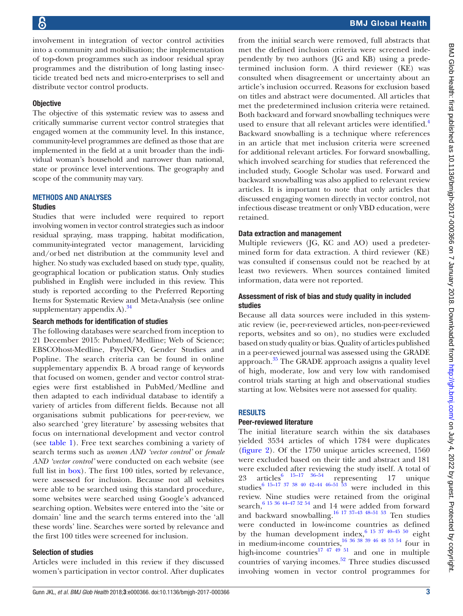involvement in integration of vector control activities into a community and mobilisation; the implementation of top-down programmes such as indoor residual spray programmes and the distribution of long lasting insecticide treated bed nets and micro-enterprises to sell and distribute vector control products.

## **Objective**

The objective of this systematic review was to assess and critically summarise current vector control strategies that engaged women at the community level. In this instance, community-level programmes are defined as those that are implemented in the field at a unit broader than the individual woman's household and narrower than national, state or province level interventions. The geography and scope of the community may vary.

# Methods and analyses

# **Studies**

Studies that were included were required to report involving women in vector control strategies such as indoor residual spraying, mass trapping, habitat modification, community-integrated vector management, larviciding and/orbed net distribution at the community level and higher. No study was excluded based on study type, quality, geographical location or publication status. Only studies published in English were included in this review. This study is reported according to the Preferred Reporting Items for Systematic Review and Meta-Analysis (see online [supplementary appendix A](https://dx.doi.org/10.1136/bmjgh-2017-000366)).  $34$ 

## Search methods for identification of studies

The following databases were searched from inception to 21 December 2015: Pubmed/Medline; Web of Science; EBSCOhost-Medline, PsycINFO, Gender Studies and Popline. The search criteria can be found in online [supplementary appendix B.](https://dx.doi.org/10.1136/bmjgh-2017-000366) A broad range of keywords that focused on women, gender and vector control strategies were first established in PubMed/Medline and then adapted to each individual database to identify a variety of articles from different fields. Because not all organisations submit publications for peer-review, we also searched 'grey literature' by assessing websites that focus on international development and vector control (see [table](#page-3-0) 1). Free text searches combining a variety of search terms such as *women AND 'vector control'* or *female AND 'vector control'* were conducted on each website (see full list in [box](#page-3-1)). The first 100 titles, sorted by relevance, were assessed for inclusion. Because not all websites were able to be searched using this standard procedure, some websites were searched using Google's advanced searching option. Websites were entered into the 'site or domain' line and the search terms entered into the 'all these words' line. Searches were sorted by relevance and the first 100 titles were screened for inclusion.

# Selection of studies

Articles were included in this review if they discussed women's participation in vector control. After duplicates

from the initial search were removed, full abstracts that met the defined inclusion criteria were screened independently by two authors (JG and KB) using a predetermined inclusion form. A third reviewer (KE) was consulted when disagreement or uncertainty about an article's inclusion occurred. Reasons for exclusion based on titles and abstract were documented. All articles that met the predetermined inclusion criteria were retained. Both backward and forward snowballing techniques were used to ensure that all relevant articles were identified.<sup>[4](#page-8-3)</sup> Backward snowballing is a technique where references in an article that met inclusion criteria were screened for additional relevant articles. For forward snowballing, which involved searching for studies that referenced the included study, Google Scholar was used. Forward and backward snowballing was also applied to relevant review articles. It is important to note that only articles that discussed engaging women directly in vector control, not infectious disease treatment or only VBD education, were retained.

# Data extraction and management

Multiple reviewers (JG, KC and AO) used a predetermined form for data extraction. A third reviewer (KE) was consulted if consensus could not be reached by at least two reviewers. When sources contained limited information, data were not reported.

# Assessment of risk of bias and study quality in included studies

Because all data sources were included in this systematic review (ie, peer-reviewed articles, non-peer-reviewed reports, websites and so on), no studies were excluded based on study quality or bias. Quality of articles published in a peer-reviewed journal was assessed using the GRADE approach.[35](#page-9-7) The GRADE approach assigns a quality level of high, moderate, low and very low with randomised control trials starting at high and observational studies starting at low. Websites were not assessed for quality.

# **RESULTS**

# Peer-reviewed literature

The initial literature search within the six databases yielded 3534 articles of which 1784 were duplicates [\(figure](#page-4-0) 2). Of the 1750 unique articles screened, 1560 were excluded based on their title and abstract and 181 were excluded after reviewing the study itself. A total of 23 articles<sup>6</sup> <sup>15–17</sup> <sup>36–54</sup> representing 17 unique</sup> studies<sup>6</sup> <sup>15–17</sup> <sup>37</sup> <sup>38</sup> <sup>40</sup> <sup>42–44</sup> <sup>46–51</sup> <sup>53</sup> were included in this review. Nine studies were retained from the original search, $6^{15}$   $36$   $44-47$   $52$   $54$  and 14 were added from forward and backward snowballing.<sup>16 17 37–43 48–51 53</sup> Ten studies were conducted in low-income countries as defined by the human development index,  $6^{15}$   $37$   $40-45$   $50$  eight in medium-income countries,  $^{16}$   $^{36}$   $^{38}$   $^{39}$   $^{46}$   $^{48}$   $^{53}$   $^{54}$  four in high-income countries<sup>[17 47 49 51](#page-8-15)</sup> and one in multiple countries of varying incomes.[52](#page-9-8) Three studies discussed involving women in vector control programmes for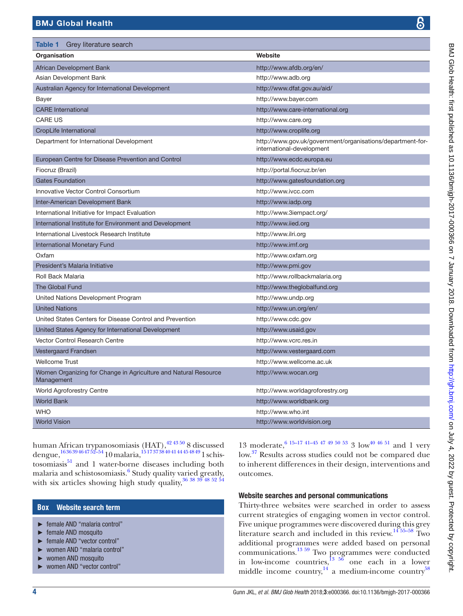<span id="page-3-0"></span>

| <b>Table 1</b> Grey literature search                                         |                                                                                         |
|-------------------------------------------------------------------------------|-----------------------------------------------------------------------------------------|
| Organisation                                                                  | Website                                                                                 |
| African Development Bank                                                      | http://www.afdb.org/en/                                                                 |
| Asian Development Bank                                                        | http://www.adb.org                                                                      |
| Australian Agency for International Development                               | http://www.dfat.gov.au/aid/                                                             |
| Bayer                                                                         | http://www.bayer.com                                                                    |
| <b>CARE</b> International                                                     | http://www.care-international.org                                                       |
| <b>CARE US</b>                                                                | http://www.care.org                                                                     |
| CropLife International                                                        | http://www.croplife.org                                                                 |
| Department for International Development                                      | http://www.gov.uk/government/organisations/department-for-<br>international-development |
| European Centre for Disease Prevention and Control                            | http://www.ecdc.europa.eu                                                               |
| Fiocruz (Brazil)                                                              | http://portal.fiocruz.br/en                                                             |
| <b>Gates Foundation</b>                                                       | http://www.gatesfoundation.org                                                          |
| <b>Innovative Vector Control Consortium</b>                                   | http://www.ivcc.com                                                                     |
| Inter-American Development Bank                                               | http://www.iadp.org                                                                     |
| International Initiative for Impact Evaluation                                | http://www.3iempact.org/                                                                |
| International Institute for Environment and Development                       | http://www.iied.org                                                                     |
| International Livestock Research Institute                                    | http://www.ilri.org                                                                     |
| International Monetary Fund                                                   | http://www.imf.org                                                                      |
| Oxfam                                                                         | http://www.oxfam.org                                                                    |
| President's Malaria Initiative                                                | http://www.pmi.gov                                                                      |
| <b>Roll Back Malaria</b>                                                      | http://www.rollbackmalaria.org                                                          |
| The Global Fund                                                               | http://www.theglobalfund.org                                                            |
| United Nations Development Program                                            | http://www.undp.org                                                                     |
| <b>United Nations</b>                                                         | http://www.un.org/en/                                                                   |
| United States Centers for Disease Control and Prevention                      | http://www.cdc.gov                                                                      |
| United States Agency for International Development                            | http://www.usaid.gov                                                                    |
| Vector Control Research Centre                                                | http://www.vcrc.res.in                                                                  |
| <b>Vestergaard Frandsen</b>                                                   | http://www.vestergaard.com                                                              |
| <b>Wellcome Trust</b>                                                         | http://www.wellcome.ac.uk                                                               |
| Women Organizing for Change in Agriculture and Natural Resource<br>Management | http://www.wocan.org                                                                    |
| <b>World Agroforestry Centre</b>                                              | http://www.worldagroforestry.org                                                        |
| <b>World Bank</b>                                                             | http://www.worldbank.org                                                                |
| WHO                                                                           | http://www.who.int                                                                      |
| <b>World Vision</b>                                                           | http://www.worldvision.org                                                              |

human African trypanosomiasis (HAT), $^{42\,43\,50}_{\phantom{1}\phantom{1}\phantom{1}}$ 8 discussed dengue, $^{16\,36\,39\,46\,47\,52\hbox{-}54}$ 10 malaria, $^{15\,17\,37\,38\,40\,41\,44\,45\,48\,49}$ 1 schistosomiasis $^{51}$  and 1 water-borne diseases including both malaria and schistosomiasis.<sup>[6](#page-8-5)</sup> Study quality varied greatly, with six articles showing high study quality,  $36\frac{38}{39}$   $48\frac{52}{54}$ 

# **Box** Website search term

- <span id="page-3-1"></span>female AND "malaria control"
- female AND mosquito

- female AND "vector control"
- ► women AND "malaria control"
- women AND mosquito
- women AND "vector control"

13 moderate,  $6^{6}$  15–17 41–45 47 49 50 53 3 low<sup>40 46 51</sup> and 1 very low.<sup>37</sup> Results across studies could not be compared due to inherent differences in their design, interventions and outcomes.

# Website searches and personal communications

Thirty-three websites were searched in order to assess current strategies of engaging women in vector control. Five unique programmes were discovered during this grey literature search and included in this review.[14 55–58](#page-8-17) Two additional programmes were added based on personal communications.<sup>13 59</sup> Two programmes were conducted in low-income countries,<sup>[13 56](#page-8-9)</sup> one each in a lower middle income country,<sup>14</sup> a medium-income country<sup>[58](#page-9-14)</sup>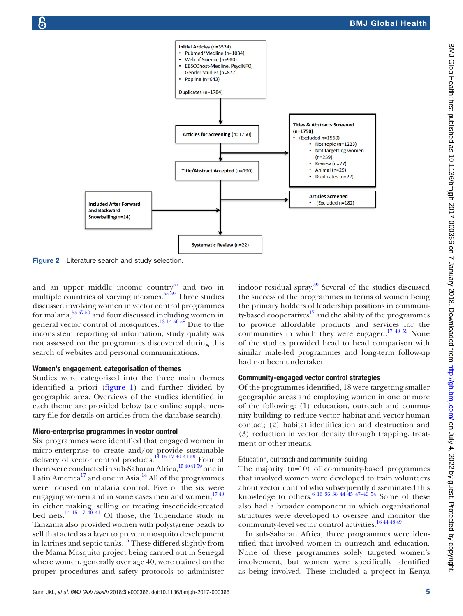

<span id="page-4-0"></span>Figure 2 Literature search and study selection.

and an upper middle income country $57$  and two in multiple countries of varying incomes.  $55\frac{59}{10}$  Three studies discussed involving women in vector control programmes for malaria,[55 57 59](#page-9-16) and four discussed including women in general vector control of mosquitoes.<sup>13 14 56 58</sup> Due to the inconsistent reporting of information, study quality was not assessed on the programmes discovered during this search of websites and personal communications.

## Women's engagement, categorisation of themes

Studies were categorised into the three main themes identified a priori [\(figure](#page-1-0) 1) and further divided by geographic area. Overviews of the studies identified in each theme are provided below (see online [supplemen](https://dx.doi.org/10.1136/bmjgh-2017-000366)[tary file](https://dx.doi.org/10.1136/bmjgh-2017-000366) for details on articles from the database search).

#### Micro-enterprise programmes in vector control

Six programmes were identified that engaged women in micro-enterprise to create and/or provide sustainable delivery of vector control products.<sup>14 15 17 40 41 59</sup> Four of them were conducted in sub-Saharan Africa,[15 40 41 59](#page-8-16) one in Latin America<sup>17</sup> and one in Asia.<sup>14</sup> All of the programmes were focused on malaria control. Five of the six were engaging women and in some cases men and women,<sup>1740</sup> in either making, selling or treating insecticide-treated bed nets.<sup>14 15 17  $\overline{40}$  41 Of those, the Tupendane study in</sup> Tanzania also provided women with polystyrene beads to sell that acted as a layer to prevent mosquito development in latrines and septic tanks.[15](#page-8-16) These differed slightly from the Mama Mosquito project being carried out in Senegal where women, generally over age 40, were trained on the proper procedures and safety protocols to administer

indoor residual spray[.59](#page-9-17) Several of the studies discussed the success of the programmes in terms of women being the primary holders of leadership positions in community-based cooperatives $17$  and the ability of the programmes to provide affordable products and services for the communities in which they were engaged.<sup>17 40 59</sup> None of the studies provided head to head comparison with similar male-led programmes and long-term follow-up had not been undertaken.

## Community-engaged vector control strategies

Of the programmes identified, 18 were targetting smaller geographic areas and employing women in one or more of the following: (1) education, outreach and community building to reduce vector habitat and vector-human contact; (2) habitat identification and destruction and (3) reduction in vector density through trapping, treatment or other means.

## Education, outreach and community-building

The majority (n=10) of community-based programmes that involved women were developed to train volunteers about vector control who subsequently disseminated this knowledge to others.<sup>6 16 36 38 44 45 47–49 54</sup> Some of these also had a broader component in which organisational structures were developed to oversee and monitor the community-level vector control activities[.16 44 48 49](#page-8-14)

In sub-Saharan Africa, three programmes were identified that involved women in outreach and education. None of these programmes solely targeted women's involvement, but women were specifically identified as being involved. These included a project in Kenya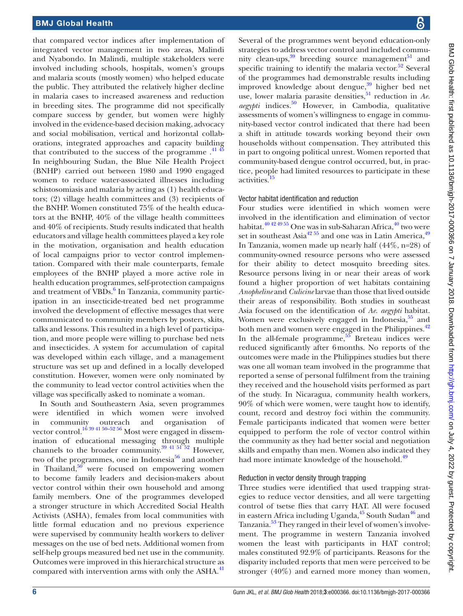that compared vector indices after implementation of integrated vector management in two areas, Malindi and Nyabondo. In Malindi, multiple stakeholders were involved including schools, hospitals, women's groups and malaria scouts (mostly women) who helped educate the public. They attributed the relatively higher decline in malaria cases to increased awareness and reduction in breeding sites. The programme did not specifically compare success by gender, but women were highly involved in the evidence-based decision making, advocacy and social mobilisation, vertical and horizontal collaborations, integrated approaches and capacity building that contributed to the success of the programme [.41 45](#page-9-18) In neighbouring Sudan, the Blue Nile Health Project (BNHP) carried out between 1980 and 1990 engaged women to reduce water-associated illnesses including schistosomiasis and malaria by acting as (1) health educators; (2) village health committees and (3) recipients of the BNHP. Women constituted 75% of the health educators at the BNHP, 40% of the village health committees and 40% of recipients. Study results indicated that health educators and village health committees played a key role in the motivation, organisation and health education of local campaigns prior to vector control implementation. Compared with their male counterparts, female employees of the BNHP played a more active role in health education programmes, self-protection campaigns and treatment of VBDs.<sup>[6](#page-8-5)</sup> In Tanzania, community participation in an insecticide-treated bed net programme involved the development of effective messages that were communicated to community members by posters, skits, talks and lessons. This resulted in a high level of participation, and more people were willing to purchase bed nets and insecticides. A system for accumulation of capital was developed within each village, and a management structure was set up and defined in a locally developed constitution. However, women were only nominated by the community to lead vector control activities when the village was specifically asked to nominate a woman.

In South and Southeastern Asia, seven programmes were identified in which women were involved in community outreach and organisation of vector control. $^{16\,39\,41\,50-52\,56}$  Most were engaged in dissemination of educational messaging through multiple channels to the broader community.<sup>39 41 51 52</sup> However, two of the programmes, one in Indonesia<sup>[56](#page-9-20)</sup> and another in Thailand, $50$  were focused on empowering women to become family leaders and decision-makers about vector control within their own household and among family members. One of the programmes developed a stronger structure in which Accredited Social Health Activists (ASHA), females from local communities with little formal education and no previous experience were supervised by community health workers to deliver messages on the use of bed nets. Additional women from self-help groups measured bed net use in the community. Outcomes were improved in this hierarchical structure as compared with intervention arms with only the ASHA.<sup>[41](#page-9-18)</sup>

Several of the programmes went beyond education-only strategies to address vector control and included community clean-ups,  $39$  breeding source management<sup>51</sup> and specific training to identify the malaria vector. $52$  Several of the programmes had demonstrable results including improved knowledge about dengue,<sup>[39](#page-9-19)</sup> higher bed net use, lower malaria parasite densities,<sup>[51](#page-9-10)</sup> reduction in *Ae*.  $aegypti$  indices.<sup>50</sup> However, in Cambodia, qualitative assessments of women's willingness to engage in community-based vector control indicated that there had been a shift in attitude towards working beyond their own households without compensation. They attributed this in part to ongoing political unrest. Women reported that community-based dengue control occurred, but, in practice, people had limited resources to participate in these activities.[15](#page-8-16)

#### Vector habitat identification and reduction

Four studies were identified in which women were involved in the identification and elimination of vector habitat.<sup>[40](#page-9-12) 42 49 55</sup> One was in sub-Saharan Africa,<sup>40</sup> two were set in southeast Asia<sup>42 55</sup> and one was in Latin America,  $49$ In Tanzania, women made up nearly half (44%, n=28) of community-owned resource persons who were assessed for their ability to detect mosquito breeding sites. Resource persons living in or near their areas of work found a higher proportion of wet habitats containing *Anopheline* and *Culicine* larvae than those that lived outside their areas of responsibility. Both studies in southeast Asia focused on the identification of *Ae. aegypti* habitat. Women were exclusively engaged in Indonesia, $55$  and both men and women were engaged in the Philippines.<sup>[42](#page-9-9)</sup> In the all-female programme, $55$  Breteau indices were reduced significantly after 6months. No reports of the outcomes were made in the Philippines studies but there was one all woman team involved in the programme that reported a sense of personal fulfilment from the training they received and the household visits performed as part of the study. In Nicaragua, community health workers, 90% of which were women, were taught how to identify, count, record and destroy foci within the community. Female participants indicated that women were better equipped to perform the role of vector control within the community as they had better social and negotiation skills and empathy than men. Women also indicated they had more intimate knowledge of the household.<sup>[49](#page-9-22)</sup>

#### Reduction in vector density through trapping

Three studies were identified that used trapping strategies to reduce vector densities, and all were targetting control of tsetse flies that carry HAT. All were focused in eastern Africa including Uganda, $45$  South Sudan $46$  and Tanzania.<sup>53</sup> They ranged in their level of women's involvement. The programme in western Tanzania involved women the least with participants in HAT control; males constituted 92.9% of participants. Reasons for the disparity included reports that men were perceived to be stronger (40%) and earned more money than women,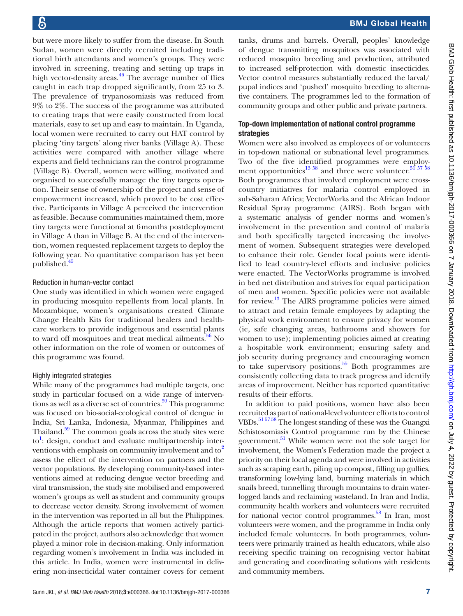but were more likely to suffer from the disease. In South Sudan, women were directly recruited including traditional birth attendants and women's groups. They were involved in screening, treating and setting up traps in high vector-density areas.<sup>46</sup> The average number of flies caught in each trap dropped significantly, from 25 to 3. The prevalence of trypanosomiasis was reduced from 9% to 2%. The success of the programme was attributed to creating traps that were easily constructed from local materials, easy to set up and easy to maintain. In Uganda, local women were recruited to carry out HAT control by placing 'tiny targets' along river banks (Village A). These activities were compared with another village where experts and field technicians ran the control programme (Village B). Overall, women were willing, motivated and organised to successfully manage the tiny targets operation. Their sense of ownership of the project and sense of empowerment increased, which proved to be cost effective. Participants in Village A perceived the intervention as feasible. Because communities maintained them, more tiny targets were functional at 6months postdeployment in Village A than in Village B. At the end of the intervention, women requested replacement targets to deploy the following year. No quantitative comparison has yet been published.<sup>[45](#page-9-23)</sup>

## Reduction in human-vector contact

One study was identified in which women were engaged in producing mosquito repellents from local plants. In Mozambique, women's organisations created Climate Change Health Kits for traditional healers and healthcare workers to provide indigenous and essential plants to ward off mosquitoes and treat medical ailments. $56$  No other information on the role of women or outcomes of this programme was found.

# Highly integrated strategies

While many of the programmes had multiple targets, one study in particular focused on a wide range of interventions as well as a diverse set of countries.<sup>59</sup> This programme was focused on bio-social-ecological control of dengue in India, Sri Lanka, Indonesia, Myanmar, Philippines and Thailand.<sup>59</sup> The common goals across the study sites were to<sup>1</sup>: design, conduct and evaluate multipartnership interventions with emphasis on community involvement and  $10<sup>2</sup>$ assess the effect of the intervention on partners and the vector populations. By developing community-based interventions aimed at reducing dengue vector breeding and viral transmission, the study site mobilised and empowered women's groups as well as student and community groups to decrease vector density. Strong involvement of women in the intervention was reported in all but the Philippines. Although the article reports that women actively participated in the project, authors also acknowledge that women played a minor role in decision-making. Only information regarding women's involvement in India was included in this article. In India, women were instrumental in delivering non-insecticidal water container covers for cement

tanks, drums and barrels. Overall, peoples' knowledge of dengue transmitting mosquitoes was associated with reduced mosquito breeding and production, attributed to increased self-protection with domestic insecticides. Vector control measures substantially reduced the larval/ pupal indices and 'pushed' mosquito breeding to alternative containers. The programmes led to the formation of community groups and other public and private partners.

# Top-down implementation of national control programme strategies

Women were also involved as employees of or volunteers in top-down national or subnational level programmes. Two of the five identified programmes were employment opportunities $^{13\ 58}$  and three were volunteer.<sup>[51 57 58](#page-9-10)</sup> Both programmes that involved employment were crosscountry initiatives for malaria control employed in sub-Saharan Africa; VectorWorks and the African Indoor Residual Spray programme (AIRS). Both began with a systematic analysis of gender norms and women's involvement in the prevention and control of malaria and both specifically targeted increasing the involvement of women. Subsequent strategies were developed to enhance their role. Gender focal points were identified to lead country-level efforts and inclusive policies were enacted. The VectorWorks programme is involved in bed net distribution and strives for equal participation of men and women. Specific policies were not available for review.[13](#page-8-9) The AIRS programme policies were aimed to attract and retain female employees by adapting the physical work environment to ensure privacy for women (ie, safe changing areas, bathrooms and showers for women to use); implementing policies aimed at creating a hospitable work environment; ensuring safety and job security during pregnancy and encouraging women to take supervisory positions.<sup>[55](#page-9-16)</sup> Both programmes are consistently collecting data to track progress and identify areas of improvement. Neither has reported quantitative results of their efforts.

In addition to paid positions, women have also been recruited as part of national-level volunteer efforts to control VBDs.[51 57 58](#page-9-10) The longest standing of these was the Guangxi Schistosomiasis Control programme run by the Chinese government.<sup>[51](#page-9-10)</sup> While women were not the sole target for involvement, the Women's Federation made the project a priority on their local agenda and were involved in activities such as scraping earth, piling up compost, filling up gullies, transforming low-lying land, burning materials in which snails breed, tunnelling through mountains to drain waterlogged lands and reclaiming wasteland. In Iran and India, community health workers and volunteers were recruited for national vector control programmes. $58$  In Iran, most volunteers were women, and the programme in India only included female volunteers. In both programmes, volunteers were primarily trained as health educators, while also receiving specific training on recognising vector habitat and generating and coordinating solutions with residents and community members.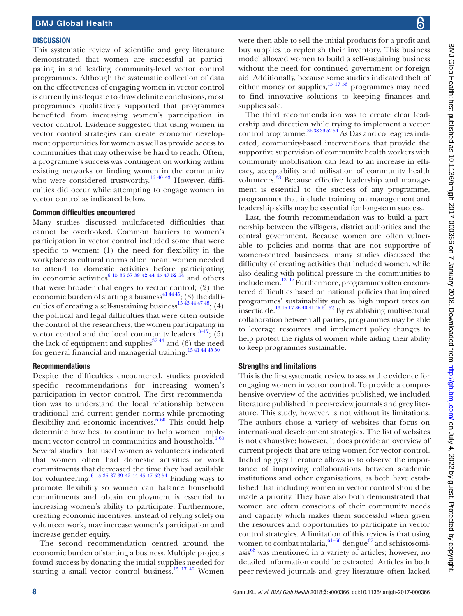#### **DISCUSSION**

This systematic review of scientific and grey literature demonstrated that women are successful at participating in and leading community-level vector control programmes. Although the systematic collection of data on the effectiveness of engaging women in vector control is currently inadequate to draw definite conclusions, most programmes qualitatively supported that programmes benefited from increasing women's participation in vector control. Evidence suggested that using women in vector control strategies can create economic development opportunities for women as well as provide access to communities that may otherwise be hard to reach. Often, a programme's success was contingent on working within existing networks or finding women in the community who were considered trustworthy.<sup>[16 40 43](#page-8-14)</sup> However, difficulties did occur while attempting to engage women in vector control as indicated below.

#### Common difficulties encountered

Many studies discussed multifaceted difficulties that cannot be overlooked. Common barriers to women's participation in vector control included some that were specific to women: (1) the need for flexibility in the workplace as cultural norms often meant women needed to attend to domestic activities before participating in economic activities  $6^{15}$  36 37 39 42 44 45 47 52 54 and others that were broader challenges to vector control; (2) the economic burden of starting a business<sup>41 44 45</sup>; (3) the difficulties of creating a self-sustaining business<sup>15 43 44 47 48</sup>; (4) the political and legal difficulties that were often outside the control of the researchers, the women participating in vector control and the local community leaders $13-17$ ; (5) the lack of equipment and supplies $3744$  and (6) the need for general financial and managerial training.<sup>[15 41 44 45 50](#page-8-16)</sup>

#### Recommendations

Despite the difficulties encountered, studies provided specific recommendations for increasing women's participation in vector control. The first recommendation was to understand the local relationship between traditional and current gender norms while promoting flexibility and economic incentives. $660$  This could help determine how best to continue to help women implement vector control in communities and households. $660$ Several studies that used women as volunteers indicated that women often had domestic activities or work commitments that decreased the time they had available for volunteering.[6 15 36 37 39 42 44 45 47 52 54](#page-8-5) Finding ways to promote flexibility so women can balance household commitments and obtain employment is essential to increasing women's ability to participate. Furthermore, creating economic incentives, instead of relying solely on volunteer work, may increase women's participation and increase gender equity.

The second recommendation centred around the economic burden of starting a business. Multiple projects found success by donating the initial supplies needed for starting a small vector control business.<sup>15 17 40</sup> Women

were then able to sell the initial products for a profit and buy supplies to replenish their inventory. This business model allowed women to build a self-sustaining business without the need for continued government or foreign aid. Additionally, because some studies indicated theft of either money or supplies, $15 \frac{17}{53}$  programmes may need to find innovative solutions to keeping finances and supplies safe.

The third recommendation was to create clear leadership and direction while trying to implement a vector control programme. $3638395254$  As Das and colleagues indicated, community-based interventions that provide the supportive supervision of community health workers with community mobilisation can lead to an increase in efficacy, acceptability and utilisation of community health volunteers.[38](#page-9-26) Because effective leadership and management is essential to the success of any programme, programmes that include training on management and leadership skills may be essential for long-term success.

Last, the fourth recommendation was to build a partnership between the villagers, district authorities and the central government. Because women are often vulnerable to policies and norms that are not supportive of women-centred businesses, many studies discussed the difficulty of creating activities that included women, while also dealing with political pressure in the communities to include men. $13-17$  Furthermore, programmes often encountered difficulties based on national policies that impaired programmes' sustainability such as high import taxes on insecticide.<sup>13 16</sup> 17 <sup>36</sup> 40 <sup>41</sup> 45 <sup>51</sup> 52 By establishing multisectoral collaboration between all parties, programmes may be able to leverage resources and implement policy changes to help protect the rights of women while aiding their ability to keep programmes sustainable.

## Strengths and limitations

This is the first systematic review to assess the evidence for engaging women in vector control. To provide a comprehensive overview of the activities published, we included literature published in peer-review journals and grey literature. This study, however, is not without its limitations. The authors chose a variety of websites that focus on international development strategies. The list of websites is not exhaustive; however, it does provide an overview of current projects that are using women for vector control. Including grey literature allows us to observe the importance of improving collaborations between academic institutions and other organisations, as both have established that including women in vector control should be made a priority. They have also both demonstrated that women are often conscious of their community needs and capacity which makes them successful when given the resources and opportunities to participate in vector control strategies. A limitation of this review is that using women to combat malaria,  $61-66$  dengue  $67$  and schistosomiasis<sup>68</sup> was mentioned in a variety of articles; however, no detailed information could be extracted. Articles in both peer-reviewed journals and grey literature often lacked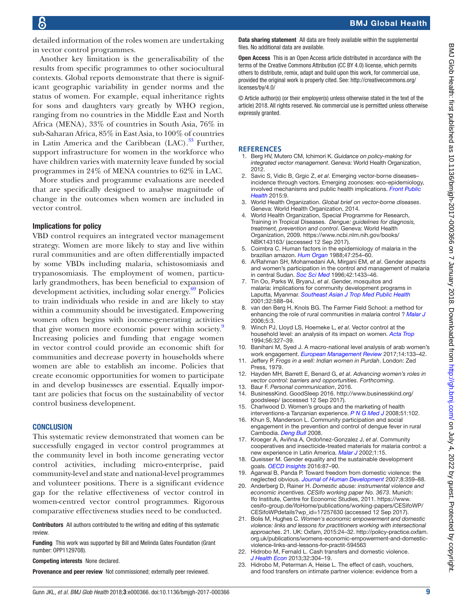detailed information of the roles women are undertaking in vector control programmes.

Another key limitation is the generalisability of the results from specific programmes to other sociocultural contexts. Global reports demonstrate that there is significant geographic variability in gender norms and the status of women. For example, equal inheritance rights for sons and daughters vary greatly by WHO region, ranging from no countries in the Middle East and North Africa (MENA), 33% of countries in South Asia, 76% in sub-Saharan Africa, 85% in East Asia, to 100% of countries in Latin America and the Caribbean (LAC).<sup>[33](#page-9-5)</sup> Further, support infrastructure for women in the workforce who have children varies with maternity leave funded by social programmes in 24% of MENA countries to 62% in LAC.

More studies and programme evaluations are needed that are specifically designed to analyse magnitude of change in the outcomes when women are included in vector control.

#### Implications for policy

VBD control requires an integrated vector management strategy. Women are more likely to stay and live within rural communities and are often differentially impacted by some VBDs including malaria, schistosomiasis and trypanosomiasis. The employment of women, particularly grandmothers, has been beneficial to expansion of development activities, including solar energy.<sup>69</sup> Policies to train individuals who reside in and are likely to stay within a community should be investigated. Empowering women often begins with income-generating activities that give women more economic power within society.<sup>[9](#page-8-13)</sup> Increasing policies and funding that engage women in vector control could provide an economic shift for communities and decrease poverty in households where women are able to establish an income. Policies that create economic opportunities for women to participate in and develop businesses are essential. Equally important are policies that focus on the sustainability of vector control business development.

#### **CONCLUSION**

This systematic review demonstrated that women can be successfully engaged in vector control programmes at the community level in both income generating vector control activities, including micro-enterprise, paid community-level and state and national-level programmes and volunteer positions. There is a significant evidence gap for the relative effectiveness of vector control in women-centred vector control programmes. Rigorous comparative effectiveness studies need to be conducted.

Contributors All authors contributed to the writing and editing of this systematic review.

Funding This work was supported by Bill and Melinda Gates Foundation (Grant number: OPP1129708).

Competing interests None declared.

Provenance and peer review Not commissioned; externally peer reviewed.

Data sharing statement All data are freely available within the supplemental files. No additional data are available.

Open Access This is an Open Access article distributed in accordance with the terms of the Creative Commons Attribution (CC BY 4.0) license, which permits others to distribute, remix, adapt and build upon this work, for commercial use, provided the original work is properly cited. See: [http://creativecommons.org/](http://creativecommons.org/licenses/by/4.0/) [licenses/by/4.0/](http://creativecommons.org/licenses/by/4.0/)

© Article author(s) (or their employer(s) unless otherwise stated in the text of the article) 2018. All rights reserved. No commercial use is permitted unless otherwise expressly granted.

#### **References**

- <span id="page-8-0"></span>1. Berg HV, Mutero CM, Ichimori K. *Guidance on policy-making for integrated vector management*. Geneva: World Health Organization, 2012.
- <span id="page-8-1"></span>2. Savic S, Vidic B, Grgic Z, *et al*. Emerging vector-borne diseases– incidence through vectors. Emerging zoonoses: eco-epidemiology, involved mechanisms and public health implications. *Front Public Health* 2015:9.
- <span id="page-8-2"></span>3. World Health Organization. *Global brief on vector-borne diseases*. Geneva: World Health Organization, 2014.
- <span id="page-8-3"></span>4. World Health Organization, Special Programme for Research, Training in Tropical Diseases.  *Dengue: guidelines for diagnosis, treatment, prevention and control*. Geneva: World Health Organization, 2009. [https://www.ncbi.nlm.nih.gov/books/](https://www.ncbi.nlm.nih.gov/books/NBK143163/) [NBK143163/](https://www.ncbi.nlm.nih.gov/books/NBK143163/) (accessed 12 Sep 2017).
- <span id="page-8-4"></span>5. Coimbra C. Human factors in the epidemiology of malaria in the brazilian amazon. *[Hum Organ](http://dx.doi.org/10.17730/humo.47.3.j18mn0682146021q)* 1988;47:254–60.
- <span id="page-8-5"></span>6. A/Rahman SH, Mohamedani AA, Mirgani EM, *et al*. Gender aspects and women's participation in the control and management of malaria in central Sudan. *[Soc Sci Med](http://dx.doi.org/10.1016/0277-9536(95)00292-8)* 1996;42:1433–46.
- 7. Tin Oo, Parks W, BryanJ, *et al*. Gender, mosquitos and malaria: implications for community development programs in Laputta, Myanmar. *Southeast Asian J Trop Med Public Health* 2001;32:588–94.
- 8. van den Berg H, Knols BG. The Farmer Field School: a method for enhancing the role of rural communities in malaria control ? *[Malar J](http://dx.doi.org/10.1186/1475-2875-5-3)* 2006;5:3.
- <span id="page-8-13"></span>9. Winch PJ, Lloyd LS, Hoemeke L, *et al*. Vector control at the household level: an analysis of its impact on women. *[Acta Trop](http://dx.doi.org/10.1016/0001-706X(94)90104-X)* 1994;56:327–39.
- <span id="page-8-6"></span>10. Banihani M, Syed J. A macro-national level analysis of arab women's work engagement. *[European Management Review](http://dx.doi.org/10.1111/emre.12095)* 2017;14:133–42.
- <span id="page-8-7"></span>11. Jeffery P. *Frogs in a well: Indian women in Purdah*. London: Zed Press, 1979.
- <span id="page-8-8"></span>12. Hayden MH, Barrett E, Benard G, *et al*. *Advancing women's roles in vector control: barriers and opportunities*. *Forthcoming*.
- <span id="page-8-9"></span>13. Baur F. *Personal communication*, 2016.
- <span id="page-8-17"></span>14. BusinessKind. GoodSleep 2016. [http://www.businesskind.org/](http://www.businesskind.org/goodsleep/) [goodsleep/](http://www.businesskind.org/goodsleep/) (accessed 12 Sep 2017).
- <span id="page-8-16"></span>15. Charlwood D. Women's groups and the marketing of health interventions-a Tanzanian experience. *P N G Med J* 2008;51:102.
- <span id="page-8-14"></span>16. Khun S, Manderson L. Community participation and social engagement in the prevention and control of dengue fever in rural Cambodia. *Deng Bull* 2008.
- <span id="page-8-15"></span>17. Kroeger A, Aviñna A, Ordoñnez-Gonzalez J, *et al*. Community cooperatives and insecticide-treated materials for malaria control: a new experience in Latin America. *[Malar J](http://dx.doi.org/10.1186/1475-2875-1-15)* 2002;1:15.
- <span id="page-8-10"></span>18. Queisser M. Gender equality and the sustainable development goals. *OECD Insights* 2016:87–90.
- <span id="page-8-11"></span>19. Agarwal B, Panda P. Toward freedom from domestic violence: the neglected obvious. *[Journal of Human Development](http://dx.doi.org/10.1080/14649880701462171)* 2007;8:359–88.
- 20. Anderberg D, Rainer H. *Domestic abuse: instrumental violence and economic incentives. CESifo working paper No. 3673*. Munich: Ifo Institute, Centre for Economic Studies, 2011. [https://www.](https://www.cesifo-group.de/ifoHome/publications/working-papers/CESifoWP/CESifoWPdetails?wp_id=17257630) [cesifo-group.de/ifoHome/publications/working-papers/CESifoWP/](https://www.cesifo-group.de/ifoHome/publications/working-papers/CESifoWP/CESifoWPdetails?wp_id=17257630) [CESifoWPdetails?wp\\_id=17257630](https://www.cesifo-group.de/ifoHome/publications/working-papers/CESifoWP/CESifoWPdetails?wp_id=17257630) (accessed 12 Sep 2017).
- <span id="page-8-12"></span>21. Bolis M, Hughes C. *Women's economic empowerment and domestic violence: links and lessons for practitioners working with intersectional approaches*. 21. UK: Oxfam, 2015:24–32. [http://policy-practice.oxfam.](http://policy-practice.oxfam.org.uk/publications/womens-economic-empowerment-and-domestic-violence-links-and-lessons-for-practit-594563) [org.uk/publications/womens-economic-empowerment-and-domestic](http://policy-practice.oxfam.org.uk/publications/womens-economic-empowerment-and-domestic-violence-links-and-lessons-for-practit-594563)[violence-links-and-lessons-for-practit-594563](http://policy-practice.oxfam.org.uk/publications/womens-economic-empowerment-and-domestic-violence-links-and-lessons-for-practit-594563)
- 22. Hidrobo M, Fernald L. Cash transfers and domestic violence. *[J Health Econ](http://dx.doi.org/10.1016/j.jhealeco.2012.11.002)* 2013;32:304–19.
- 23. Hidrobo M, Peterman A, Heise L. The effect of cash, vouchers, and food transfers on intimate partner violence: evidence from a